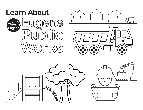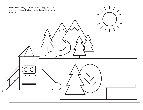**Parks** staff design our parks and keep our play areas and hiking trails clean and safe for everyone to enjoy.

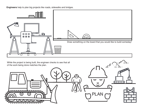**Engineers** help to plan big projects like roads, sidewalks and bridges.



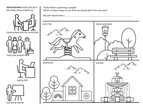**Administration** helps with all of the public works projects by:









Public Works is planning a project! Which of these things do you think we should add to the new park?

My park would have a \_\_\_\_\_\_\_\_\_\_\_\_\_\_\_\_\_\_\_\_\_\_\_\_\_\_\_\_\_\_\_\_\_\_\_\_\_\_\_\_\_\_\_\_\_\_\_\_\_\_\_\_\_\_\_\_

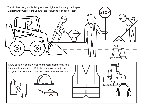The city has many roads, bridges, street lights and underground pipes. **Maintenance** workers make sure that everything is in good repair. **STOP** 

Many people in public works wear special clothes that help them do their job safely. Write the names of these items. Do you know what each item does to help workers be safe?





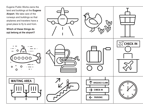Eugene Public Works owns the land and buildings at the **Eugene Airport**. We take care of the runways and buildings so that airplanes and travelers have a great place to fly to and from. **Which of these things do not belong at the airport? Example CHECK IN** 7111 99 00000  $\overline{ }$  $\circ$  $\mathbf{o}$ O  $\mathbf{O}$ WAITING AREA BAGGAGE CLAIM CHECK IN PARKING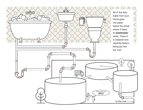